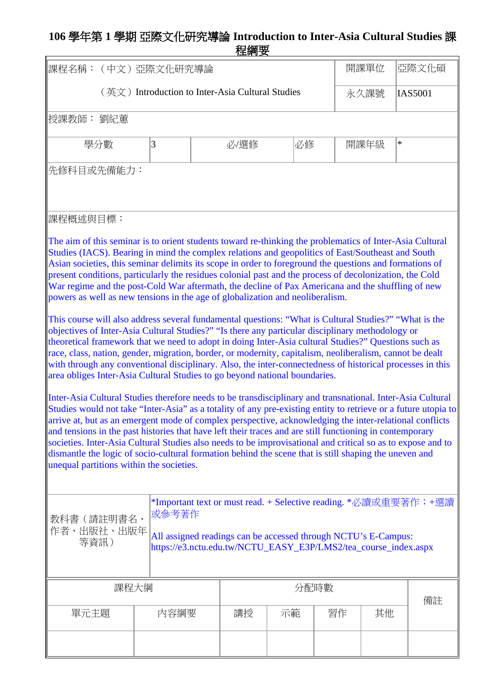## **106** 學年第 **1** 學期 亞際文化研究導論 **Introduction to Inter-Asia Cultural Studies** 課 程綱要

| 課程名稱:(中文)亞際文化研究導論                                                                                                                                                                                                                                                                                                                                                                                                                                                                                                                                                                                                                                                                                                                                                                                                                                                                                                                                                                                                                                                                                                                                                                                                                                                                                                                                                                                                                                                                                                                                                                                                                                                                                                                                                                                                                                                                                                                                                                |            |                                                     |    |    |      | 開課單位   | 亞際文化碩          |
|----------------------------------------------------------------------------------------------------------------------------------------------------------------------------------------------------------------------------------------------------------------------------------------------------------------------------------------------------------------------------------------------------------------------------------------------------------------------------------------------------------------------------------------------------------------------------------------------------------------------------------------------------------------------------------------------------------------------------------------------------------------------------------------------------------------------------------------------------------------------------------------------------------------------------------------------------------------------------------------------------------------------------------------------------------------------------------------------------------------------------------------------------------------------------------------------------------------------------------------------------------------------------------------------------------------------------------------------------------------------------------------------------------------------------------------------------------------------------------------------------------------------------------------------------------------------------------------------------------------------------------------------------------------------------------------------------------------------------------------------------------------------------------------------------------------------------------------------------------------------------------------------------------------------------------------------------------------------------------|------------|-----------------------------------------------------|----|----|------|--------|----------------|
|                                                                                                                                                                                                                                                                                                                                                                                                                                                                                                                                                                                                                                                                                                                                                                                                                                                                                                                                                                                                                                                                                                                                                                                                                                                                                                                                                                                                                                                                                                                                                                                                                                                                                                                                                                                                                                                                                                                                                                                  |            | $($ 英文) Introduction to Inter-Asia Cultural Studies |    |    |      | 永久課號   | <b>IAS5001</b> |
| 授課教師: 劉紀蕙                                                                                                                                                                                                                                                                                                                                                                                                                                                                                                                                                                                                                                                                                                                                                                                                                                                                                                                                                                                                                                                                                                                                                                                                                                                                                                                                                                                                                                                                                                                                                                                                                                                                                                                                                                                                                                                                                                                                                                        |            |                                                     |    |    |      |        |                |
| 學分數                                                                                                                                                                                                                                                                                                                                                                                                                                                                                                                                                                                                                                                                                                                                                                                                                                                                                                                                                                                                                                                                                                                                                                                                                                                                                                                                                                                                                                                                                                                                                                                                                                                                                                                                                                                                                                                                                                                                                                              | 必選修        |                                                     | 必修 |    | 開課年級 | $\ast$ |                |
|                                                                                                                                                                                                                                                                                                                                                                                                                                                                                                                                                                                                                                                                                                                                                                                                                                                                                                                                                                                                                                                                                                                                                                                                                                                                                                                                                                                                                                                                                                                                                                                                                                                                                                                                                                                                                                                                                                                                                                                  | 先修科目或先備能力: |                                                     |    |    |      |        |                |
| 課程概述與目標:                                                                                                                                                                                                                                                                                                                                                                                                                                                                                                                                                                                                                                                                                                                                                                                                                                                                                                                                                                                                                                                                                                                                                                                                                                                                                                                                                                                                                                                                                                                                                                                                                                                                                                                                                                                                                                                                                                                                                                         |            |                                                     |    |    |      |        |                |
| The aim of this seminar is to orient students toward re-thinking the problematics of Inter-Asia Cultural<br>Studies (IACS). Bearing in mind the complex relations and geopolitics of East/Southeast and South<br>Asian societies, this seminar delimits its scope in order to foreground the questions and formations of<br>present conditions, particularly the residues colonial past and the process of decolonization, the Cold<br>War regime and the post-Cold War aftermath, the decline of Pax Americana and the shuffling of new<br>powers as well as new tensions in the age of globalization and neoliberalism.<br>This course will also address several fundamental questions: "What is Cultural Studies?" "What is the<br>objectives of Inter-Asia Cultural Studies?" "Is there any particular disciplinary methodology or<br>theoretical framework that we need to adopt in doing Inter-Asia cultural Studies?" Questions such as<br>race, class, nation, gender, migration, border, or modernity, capitalism, neoliberalism, cannot be dealt<br>with through any conventional disciplinary. Also, the inter-connectedness of historical processes in this<br>area obliges Inter-Asia Cultural Studies to go beyond national boundaries.<br>Inter-Asia Cultural Studies therefore needs to be transdisciplinary and transnational. Inter-Asia Cultural<br>Studies would not take "Inter-Asia" as a totality of any pre-existing entity to retrieve or a future utopia to<br>arrive at, but as an emergent mode of complex perspective, acknowledging the inter-relational conflicts<br>and tensions in the past histories that have left their traces and are still functioning in contemporary<br>societies. Inter-Asia Cultural Studies also needs to be improvisational and critical so as to expose and to<br>dismantle the logic of socio-cultural formation behind the scene that is still shaping the uneven and<br>unequal partitions within the societies. |            |                                                     |    |    |      |        |                |
| *Important text or must read. + Selective reading. *必讀或重要著作;+選讀<br>或参考著作<br>教科書(請註明書名、<br>作者、出版社、出版年<br>All assigned readings can be accessed through NCTU's E-Campus:<br>等資訊)<br>https://e3.nctu.edu.tw/NCTU_EASY_E3P/LMS2/tea_course_index.aspx                                                                                                                                                                                                                                                                                                                                                                                                                                                                                                                                                                                                                                                                                                                                                                                                                                                                                                                                                                                                                                                                                                                                                                                                                                                                                                                                                                                                                                                                                                                                                                                                                                                                                                                                |            |                                                     |    |    |      |        |                |
| 課程大綱<br>分配時數                                                                                                                                                                                                                                                                                                                                                                                                                                                                                                                                                                                                                                                                                                                                                                                                                                                                                                                                                                                                                                                                                                                                                                                                                                                                                                                                                                                                                                                                                                                                                                                                                                                                                                                                                                                                                                                                                                                                                                     |            |                                                     |    | 備註 |      |        |                |
| 單元主題<br>內容綱要                                                                                                                                                                                                                                                                                                                                                                                                                                                                                                                                                                                                                                                                                                                                                                                                                                                                                                                                                                                                                                                                                                                                                                                                                                                                                                                                                                                                                                                                                                                                                                                                                                                                                                                                                                                                                                                                                                                                                                     |            | 講授                                                  | 示範 |    | 習作   | 其他     |                |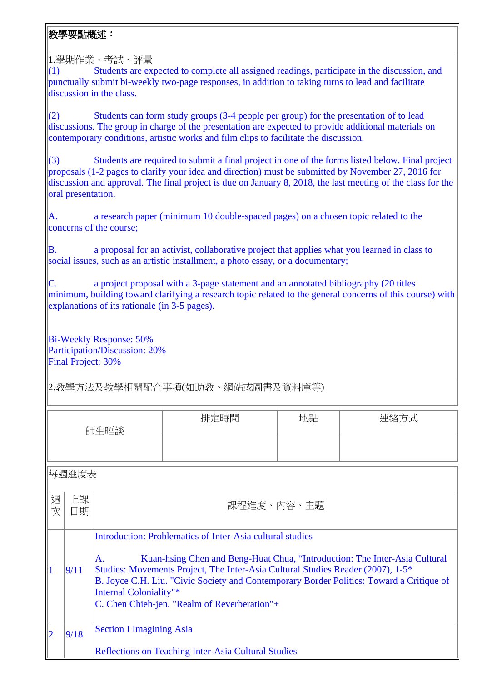## 教學要點概述:

1.學期作業、考試、評量

(1) Students are expected to complete all assigned readings, participate in the discussion, and punctually submit bi-weekly two-page responses, in addition to taking turns to lead and facilitate discussion in the class.

(2) Students can form study groups (3-4 people per group) for the presentation of to lead discussions. The group in charge of the presentation are expected to provide additional materials on contemporary conditions, artistic works and film clips to facilitate the discussion.

(3) Students are required to submit a final project in one of the forms listed below. Final project proposals (1-2 pages to clarify your idea and direction) must be submitted by November 27, 2016 for discussion and approval. The final project is due on January 8, 2018, the last meeting of the class for the oral presentation.

A. a research paper (minimum 10 double-spaced pages) on a chosen topic related to the concerns of the course;

B. a proposal for an activist, collaborative project that applies what you learned in class to social issues, such as an artistic installment, a photo essay, or a documentary;

C. a project proposal with a 3-page statement and an annotated bibliography (20 titles minimum, building toward clarifying a research topic related to the general concerns of this course) with explanations of its rationale (in 3-5 pages).

Bi-Weekly Response: 50% Participation/Discussion: 20% Final Project: 30%

2.教學方法及教學相關配合事項(如助教、網站或圖書及資料庫等)

| 師生晤談   |                                                     |                                 | 排定時間                                                                                                                                                                                                                                                                                                      | 地點 | 連絡方式 |
|--------|-----------------------------------------------------|---------------------------------|-----------------------------------------------------------------------------------------------------------------------------------------------------------------------------------------------------------------------------------------------------------------------------------------------------------|----|------|
|        |                                                     |                                 |                                                                                                                                                                                                                                                                                                           |    |      |
|        | 每週進度表                                               |                                 |                                                                                                                                                                                                                                                                                                           |    |      |
|        |                                                     |                                 |                                                                                                                                                                                                                                                                                                           |    |      |
| 週<br>次 | 上課<br>日期                                            | 課程進度、內容、主題                      |                                                                                                                                                                                                                                                                                                           |    |      |
|        |                                                     |                                 | Introduction: Problematics of Inter-Asia cultural studies                                                                                                                                                                                                                                                 |    |      |
|        | 9/11                                                | A.<br>Internal Coloniality"*    | Kuan-hsing Chen and Beng-Huat Chua, "Introduction: The Inter-Asia Cultural<br>Studies: Movements Project, The Inter-Asia Cultural Studies Reader (2007), 1-5*<br>B. Joyce C.H. Liu. "Civic Society and Contemporary Border Politics: Toward a Critique of<br>C. Chen Chieh-jen. "Realm of Reverberation"+ |    |      |
| 2      | 9/18                                                | <b>Section I Imagining Asia</b> |                                                                                                                                                                                                                                                                                                           |    |      |
|        | Reflections on Teaching Inter-Asia Cultural Studies |                                 |                                                                                                                                                                                                                                                                                                           |    |      |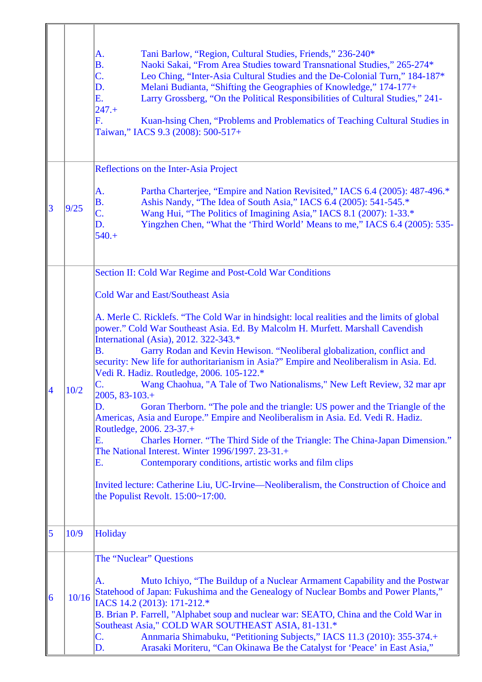|   |       | Tani Barlow, "Region, Cultural Studies, Friends," 236-240*<br>A.<br>Naoki Sakai, "From Area Studies toward Transnational Studies," 265-274*<br><b>B.</b><br>C.<br>Leo Ching, "Inter-Asia Cultural Studies and the De-Colonial Turn," 184-187*<br>Melani Budianta, "Shifting the Geographies of Knowledge," 174-177+<br>D.<br>Larry Grossberg, "On the Political Responsibilities of Cultural Studies," 241-<br>Ε.<br>$247.+$<br>F.<br>Kuan-hsing Chen, "Problems and Problematics of Teaching Cultural Studies in<br>Taiwan," IACS 9.3 (2008): 500-517+                                                                                                                                                                                                                                                                                                                                                                                                                                                                                                                                                                                                         |
|---|-------|-----------------------------------------------------------------------------------------------------------------------------------------------------------------------------------------------------------------------------------------------------------------------------------------------------------------------------------------------------------------------------------------------------------------------------------------------------------------------------------------------------------------------------------------------------------------------------------------------------------------------------------------------------------------------------------------------------------------------------------------------------------------------------------------------------------------------------------------------------------------------------------------------------------------------------------------------------------------------------------------------------------------------------------------------------------------------------------------------------------------------------------------------------------------|
|   |       | Reflections on the Inter-Asia Project                                                                                                                                                                                                                                                                                                                                                                                                                                                                                                                                                                                                                                                                                                                                                                                                                                                                                                                                                                                                                                                                                                                           |
| 3 | 9/25  | Partha Charterjee, "Empire and Nation Revisited," IACS 6.4 (2005): 487-496.*<br>A.<br>Ashis Nandy, "The Idea of South Asia," IACS 6.4 (2005): 541-545.*<br><b>B.</b><br>C.<br>Wang Hui, "The Politics of Imagining Asia," IACS 8.1 (2007): 1-33.*<br>Yingzhen Chen, "What the 'Third World' Means to me," IACS 6.4 (2005): 535-<br>D.<br>$540.+$                                                                                                                                                                                                                                                                                                                                                                                                                                                                                                                                                                                                                                                                                                                                                                                                                |
|   |       | Section II: Cold War Regime and Post-Cold War Conditions                                                                                                                                                                                                                                                                                                                                                                                                                                                                                                                                                                                                                                                                                                                                                                                                                                                                                                                                                                                                                                                                                                        |
|   | 10/2  | <b>Cold War and East/Southeast Asia</b><br>A. Merle C. Ricklefs. "The Cold War in hindsight: local realities and the limits of global<br>power." Cold War Southeast Asia. Ed. By Malcolm H. Murfett. Marshall Cavendish<br>International (Asia), 2012. 322-343.*<br>Garry Rodan and Kevin Hewison. "Neoliberal globalization, conflict and<br><b>B.</b><br>security: New life for authoritarianism in Asia?" Empire and Neoliberalism in Asia. Ed.<br>Vedi R. Hadiz. Routledge, 2006. 105-122.*<br>Wang Chaohua, "A Tale of Two Nationalisms," New Left Review, 32 mar apr<br>C.<br>$2005, 83 - 103. +$<br>Goran Therborn. "The pole and the triangle: US power and the Triangle of the<br>D.<br>Americas, Asia and Europe." Empire and Neoliberalism in Asia. Ed. Vedi R. Hadiz.<br>Routledge, 2006. 23-37.+<br>Charles Horner. "The Third Side of the Triangle: The China-Japan Dimension."<br>Ε.<br>The National Interest. Winter 1996/1997. 23-31.+<br>Ε.<br>Contemporary conditions, artistic works and film clips<br>Invited lecture: Catherine Liu, UC-Irvine—Neoliberalism, the Construction of Choice and<br>the Populist Revolt. $15:00 \sim 17:00$ . |
| 5 | 10/9  | <b>Holiday</b>                                                                                                                                                                                                                                                                                                                                                                                                                                                                                                                                                                                                                                                                                                                                                                                                                                                                                                                                                                                                                                                                                                                                                  |
| 6 | 10/16 | The "Nuclear" Questions<br>Muto Ichiyo, "The Buildup of a Nuclear Armament Capability and the Postwar<br>А.<br>Statehood of Japan: Fukushima and the Genealogy of Nuclear Bombs and Power Plants,"<br>IACS 14.2 (2013): 171-212.*<br>B. Brian P. Farrell, "Alphabet soup and nuclear war: SEATO, China and the Cold War in<br>Southeast Asia," COLD WAR SOUTHEAST ASIA, 81-131.*<br>Annmaria Shimabuku, "Petitioning Subjects," IACS 11.3 (2010): 355-374.+<br>C.<br>Arasaki Moriteru, "Can Okinawa Be the Catalyst for 'Peace' in East Asia,"<br>D.                                                                                                                                                                                                                                                                                                                                                                                                                                                                                                                                                                                                            |

 $\overline{1}$ 

 $\overline{\mathbb{F}}$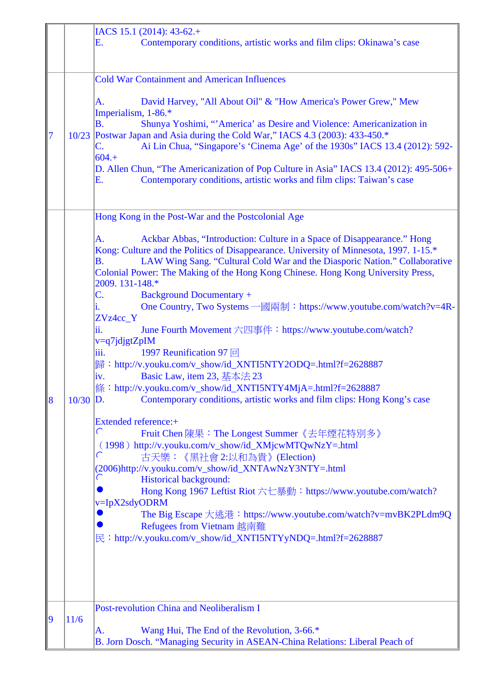|   |       | IACS 15.1 (2014): 43-62.+<br>Contemporary conditions, artistic works and film clips: Okinawa's case<br>Е.                                                                                                                                                                                                                                                                                                                                                                                                                                                                                                                                                                                                                                                                                                                                                                                                                                                                                       |
|---|-------|-------------------------------------------------------------------------------------------------------------------------------------------------------------------------------------------------------------------------------------------------------------------------------------------------------------------------------------------------------------------------------------------------------------------------------------------------------------------------------------------------------------------------------------------------------------------------------------------------------------------------------------------------------------------------------------------------------------------------------------------------------------------------------------------------------------------------------------------------------------------------------------------------------------------------------------------------------------------------------------------------|
|   |       | <b>Cold War Containment and American Influences</b>                                                                                                                                                                                                                                                                                                                                                                                                                                                                                                                                                                                                                                                                                                                                                                                                                                                                                                                                             |
| 7 |       | David Harvey, "All About Oil" & "How America's Power Grew," Mew<br>А.<br>Imperialism, 1-86.*<br>B.<br>Shunya Yoshimi, "'America' as Desire and Violence: Americanization in<br>10/23 Postwar Japan and Asia during the Cold War," IACS 4.3 (2003): 433-450.*<br>Ai Lin Chua, "Singapore's 'Cinema Age' of the 1930s" IACS 13.4 (2012): 592-<br>C.<br>$604. +$<br>D. Allen Chun, "The Americanization of Pop Culture in Asia" IACS 13.4 (2012): 495-506+<br>Contemporary conditions, artistic works and film clips: Taiwan's case<br>E.                                                                                                                                                                                                                                                                                                                                                                                                                                                          |
|   |       | Hong Kong in the Post-War and the Postcolonial Age                                                                                                                                                                                                                                                                                                                                                                                                                                                                                                                                                                                                                                                                                                                                                                                                                                                                                                                                              |
| 8 | 10/30 | Ackbar Abbas, "Introduction: Culture in a Space of Disappearance." Hong<br>А.<br>Kong: Culture and the Politics of Disappearance. University of Minnesota, 1997. 1-15.*<br>LAW Wing Sang. "Cultural Cold War and the Diasporic Nation." Collaborative<br><b>B.</b><br>Colonial Power: The Making of the Hong Kong Chinese. Hong Kong University Press,<br>2009. 131-148.*<br>C.<br><b>Background Documentary +</b><br>One Country, Two Systems 一國兩制: https://www.youtube.com/watch?v=4R-<br>i.<br>ZVz4cc_Y<br>ii.<br>June Fourth Movement 六四事件: https://www.youtube.com/watch?<br>v=q7jdjgtZpIM<br>1997 Reunification 97 回<br>iii.<br>歸: http://v.youku.com/v_show/id_XNTI5NTY2ODQ=.html?f=2628887<br>Basic Law, item 23, 基本法 23<br>iv.<br>條: http://v.youku.com/v_show/id_XNTI5NTY4MjA=.html?f=2628887<br>Contemporary conditions, artistic works and film clips: Hong Kong's case<br>$\mathbb{D}$ .<br><b>Extended reference:+</b><br>$\subset$<br>Fruit Chen 陳果: The Longest Summer《去年煙花特別多》 |
|   |       | (1998) http://v.youku.com/v_show/id_XMjcwMTQwNzY=.html<br>$\subset$<br>古天樂:《黑社會 2:以和為貴》(Election)<br>(2006)http://v.youku.com/v_show/id_XNTAwNzY3NTY=.html<br>€<br><b>Historical background:</b><br>Hong Kong 1967 Leftist Riot 六七暴動: https://www.youtube.com/watch?                                                                                                                                                                                                                                                                                                                                                                                                                                                                                                                                                                                                                                                                                                                            |
|   |       | v=IpX2sdyODRM<br>The Big Escape 大逃港: https://www.youtube.com/watch?v=mvBK2PLdm9Q<br><b>Refugees from Vietnam 越南難</b><br>民: http://v.youku.com/v_show/id_XNTI5NTYyNDQ=.html?f=2628887                                                                                                                                                                                                                                                                                                                                                                                                                                                                                                                                                                                                                                                                                                                                                                                                            |
|   |       |                                                                                                                                                                                                                                                                                                                                                                                                                                                                                                                                                                                                                                                                                                                                                                                                                                                                                                                                                                                                 |
| 9 | 11/6  | Post-revolution China and Neoliberalism I<br>Wang Hui, The End of the Revolution, 3-66.*<br>A.<br>B. Jorn Dosch. "Managing Security in ASEAN-China Relations: Liberal Peach of                                                                                                                                                                                                                                                                                                                                                                                                                                                                                                                                                                                                                                                                                                                                                                                                                  |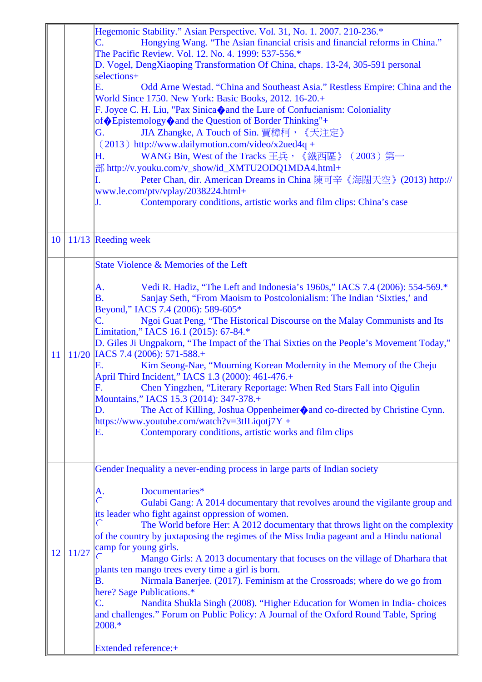|    |       | Hegemonic Stability." Asian Perspective. Vol. 31, No. 1. 2007. 210-236.*<br>Hongying Wang. "The Asian financial crisis and financial reforms in China."<br>$\mathsf{C}.$ |
|----|-------|--------------------------------------------------------------------------------------------------------------------------------------------------------------------------|
|    |       | The Pacific Review. Vol. 12. No. 4. 1999: 537-556.*                                                                                                                      |
|    |       | D. Vogel, DengXiaoping Transformation Of China, chaps. 13-24, 305-591 personal                                                                                           |
|    |       | selections+<br>Ε.<br>Odd Arne Westad. "China and Southeast Asia." Restless Empire: China and the<br>World Since 1750. New York: Basic Books, 2012. 16-20.+               |
|    |       | F. Joyce C. H. Liu, "Pax Sinica ond the Lure of Confucianism: Coloniality<br>of Sepistemology Cand the Question of Border Thinking"+                                     |
|    |       | JIA Zhangke, A Touch of Sin. 賈樟柯, 《天注定》<br>G.                                                                                                                            |
|    |       | (2013) http://www.dailymotion.com/video/x2ued4q +                                                                                                                        |
|    |       | WANG Bin, West of the Tracks 王兵, 《鐵西區》 (2003) 第一<br>Η.                                                                                                                   |
|    |       | 部 http://v.youku.com/v_show/id_XMTU2ODQ1MDA4.html+<br>Peter Chan, dir. American Dreams in China 陳可辛《海闊天空》(2013) http://<br>Ι.                                            |
|    |       | www.le.com/ptv/vplay/2038224.html+                                                                                                                                       |
|    |       | Contemporary conditions, artistic works and film clips: China's case<br>J.                                                                                               |
|    |       |                                                                                                                                                                          |
| 10 |       | 11/13 Reeding week                                                                                                                                                       |
|    |       | State Violence & Memories of the Left                                                                                                                                    |
|    |       | Vedi R. Hadiz, "The Left and Indonesia's 1960s," IACS 7.4 (2006): 554-569.*<br>A.                                                                                        |
|    |       | <b>B.</b><br>Sanjay Seth, "From Maoism to Postcolonialism: The Indian 'Sixties,' and                                                                                     |
|    |       | Beyond," IACS 7.4 (2006): 589-605*<br>$C_{\cdot}$                                                                                                                        |
|    |       | Ngoi Guat Peng, "The Historical Discourse on the Malay Communists and Its<br>Limitation," IACS 16.1 (2015): 67-84.*                                                      |
|    |       | D. Giles Ji Ungpakorn, "The Impact of the Thai Sixties on the People's Movement Today,"                                                                                  |
| 11 |       | 11/20 IACS 7.4 (2006): 571-588.+                                                                                                                                         |
|    |       | Kim Seong-Nae, "Mourning Korean Modernity in the Memory of the Cheju<br>Е.<br>April Third Incident," IACS 1.3 (2000): 461-476.+                                          |
|    |       | F. Chen Yingzhen, "Literary Reportage: When Red Stars Fall into Qigulin                                                                                                  |
|    |       | Mountains," IACS 15.3 (2014): 347-378.+                                                                                                                                  |
|    |       | The Act of Killing, Joshua Oppenheimer $\bigcirc$ and co-directed by Christine Cynn.<br>D.<br>https://www.youtube.com/watch?v=3tILiqotj7Y +                              |
|    |       | Contemporary conditions, artistic works and film clips<br>Ε.                                                                                                             |
|    |       |                                                                                                                                                                          |
|    |       | Gender Inequality a never-ending process in large parts of Indian society                                                                                                |
|    |       |                                                                                                                                                                          |
|    |       | Documentaries*<br>A.<br>$\subset$<br>Gulabi Gang: A 2014 documentary that revolves around the vigilante group and                                                        |
|    |       | its leader who fight against oppression of women.                                                                                                                        |
|    |       | ∈<br>The World before Her: A 2012 documentary that throws light on the complexity                                                                                        |
|    |       | of the country by juxtaposing the regimes of the Miss India pageant and a Hindu national                                                                                 |
| 12 | 11/27 | camp for young girls.<br>Mango Girls: A 2013 documentary that focuses on the village of Dharhara that                                                                    |
|    |       | plants ten mango trees every time a girl is born.                                                                                                                        |
|    |       | Nirmala Banerjee. (2017). Feminism at the Crossroads; where do we go from<br><b>B.</b>                                                                                   |
|    |       | here? Sage Publications.*<br>Nandita Shukla Singh (2008). "Higher Education for Women in India-choices<br>C.                                                             |
|    |       | and challenges." Forum on Public Policy: A Journal of the Oxford Round Table, Spring                                                                                     |
|    |       | 2008.*                                                                                                                                                                   |
|    |       | <b>Extended reference:+</b>                                                                                                                                              |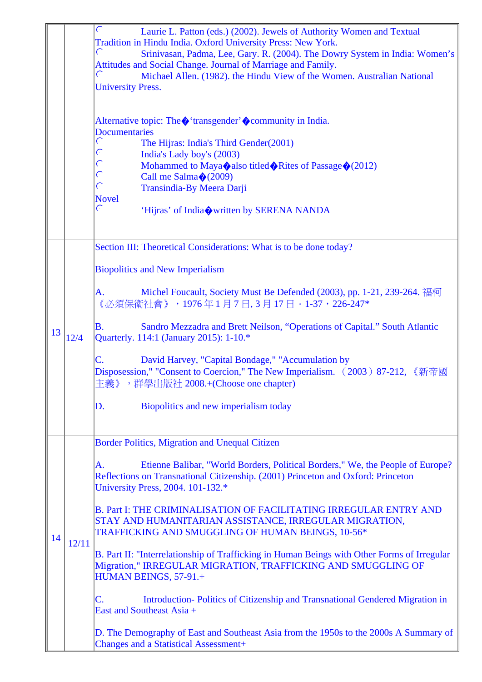|    |       | $\subset$<br>Laurie L. Patton (eds.) (2002). Jewels of Authority Women and Textual                                                                           |
|----|-------|--------------------------------------------------------------------------------------------------------------------------------------------------------------|
|    |       | Tradition in Hindu India. Oxford University Press: New York.<br>$\subset$                                                                                    |
|    |       | Srinivasan, Padma, Lee, Gary. R. (2004). The Dowry System in India: Women's<br>Attitudes and Social Change. Journal of Marriage and Family.                  |
|    |       | $\subset$<br>Michael Allen. (1982). the Hindu View of the Women. Australian National                                                                         |
|    |       | <b>University Press.</b>                                                                                                                                     |
|    |       |                                                                                                                                                              |
|    |       |                                                                                                                                                              |
|    |       | Alternative topic: The $\diamond$ 'transgender' $\diamond$ community in India.<br><b>Documentaries</b>                                                       |
|    |       | $\subset$<br>The Hijras: India's Third Gender(2001)                                                                                                          |
|    |       | $\subset$<br>India's Lady boy's (2003)                                                                                                                       |
|    |       | $\subset$<br>Mohammed to Maya also titled Rites of Passage $\Diamond$ (2012)                                                                                 |
|    |       | $\subset$<br>Call me Salma $\bigotimes$ (2009)                                                                                                               |
|    |       | $\subset$<br>Transindia-By Meera Darji                                                                                                                       |
|    |       | <b>Novel</b><br>$\subset$                                                                                                                                    |
|    |       | 'Hijras' of India written by SERENA NANDA                                                                                                                    |
|    |       |                                                                                                                                                              |
|    |       | Section III: Theoretical Considerations: What is to be done today?                                                                                           |
|    |       | <b>Biopolitics and New Imperialism</b>                                                                                                                       |
|    |       |                                                                                                                                                              |
|    |       | Michel Foucault, Society Must Be Defended (2003), pp. 1-21, 239-264. 福柯<br>A.                                                                                |
|    |       | 《必須保衛社會》,1976年1月7日,3月17日。1-37,226-247*                                                                                                                       |
|    |       | Sandro Mezzadra and Brett Neilson, "Operations of Capital." South Atlantic<br><b>B.</b>                                                                      |
| 13 | 12/4  | Quarterly. 114:1 (January 2015): 1-10.*                                                                                                                      |
|    |       | David Harvey, "Capital Bondage," "Accumulation by<br>C.                                                                                                      |
|    |       | Disposession," "Consent to Coercion," The New Imperialism. (2003) 87-212, 《新帝國                                                                               |
|    |       | 主義》,群學出版社 2008.+(Choose one chapter)                                                                                                                         |
|    |       | Biopolitics and new imperialism today<br>D.                                                                                                                  |
|    |       |                                                                                                                                                              |
|    |       |                                                                                                                                                              |
|    |       | Border Politics, Migration and Unequal Citizen                                                                                                               |
|    |       | Etienne Balibar, "World Borders, Political Borders," We, the People of Europe?<br>A.                                                                         |
|    |       | Reflections on Transnational Citizenship. (2001) Princeton and Oxford: Princeton                                                                             |
|    |       | University Press, 2004. 101-132.*                                                                                                                            |
|    |       | <b>B. Part I: THE CRIMINALISATION OF FACILITATING IRREGULAR ENTRY AND</b>                                                                                    |
|    |       | STAY AND HUMANITARIAN ASSISTANCE, IRREGULAR MIGRATION,                                                                                                       |
| 14 |       | TRAFFICKING AND SMUGGLING OF HUMAN BEINGS, 10-56*                                                                                                            |
|    | 12/11 |                                                                                                                                                              |
|    |       | B. Part II: "Interrelationship of Trafficking in Human Beings with Other Forms of Irregular<br>Migration," IRREGULAR MIGRATION, TRAFFICKING AND SMUGGLING OF |
|    |       | HUMAN BEINGS, 57-91.+                                                                                                                                        |
|    |       |                                                                                                                                                              |
|    |       | Introduction-Politics of Citizenship and Transnational Gendered Migration in<br>C.<br>East and Southeast Asia +                                              |
|    |       |                                                                                                                                                              |
|    |       | D. The Demography of East and Southeast Asia from the 1950s to the 2000s A Summary of                                                                        |
|    |       | <b>Changes and a Statistical Assessment+</b>                                                                                                                 |